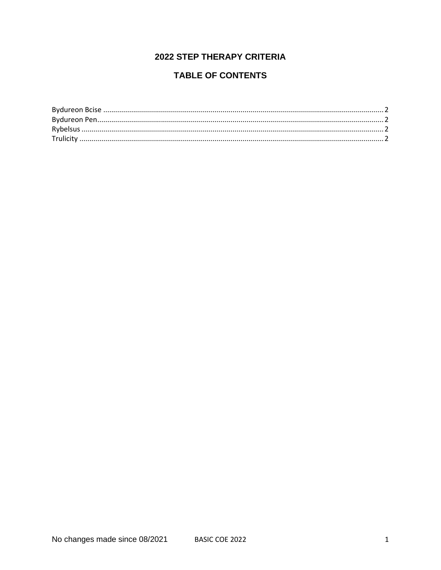# **2022 STEP THERAPY CRITERIA**

## **TABLE OF CONTENTS**